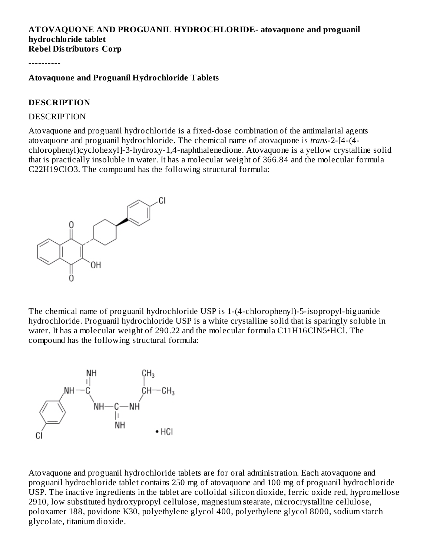#### **ATOVAQUONE AND PROGUANIL HYDROCHLORIDE- atovaquone and proguanil hydrochloride tablet Rebel Distributors Corp**

----------

#### **Atovaquone and Proguanil Hydrochloride Tablets**

#### **DESCRIPTION**

#### **DESCRIPTION**

Atovaquone and proguanil hydrochloride is a fixed-dose combination of the antimalarial agents atovaquone and proguanil hydrochloride. The chemical name of atovaquone is *trans*-2-[4-(4 chlorophenyl)cyclohexyl]-3-hydroxy-1,4-naphthalenedione. Atovaquone is a yellow crystalline solid that is practically insoluble in water. It has a molecular weight of 366.84 and the molecular formula C22H19ClO3. The compound has the following structural formula:



The chemical name of proguanil hydrochloride USP is 1-(4-chlorophenyl)-5-isopropyl-biguanide hydrochloride. Proguanil hydrochloride USP is a white crystalline solid that is sparingly soluble in water. It has a molecular weight of 290.22 and the molecular formula C11H16ClN5•HCl. The compound has the following structural formula:



Atovaquone and proguanil hydrochloride tablets are for oral administration. Each atovaquone and proguanil hydrochloride tablet contains 250 mg of atovaquone and 100 mg of proguanil hydrochloride USP. The inactive ingredients in the tablet are colloidal silicon dioxide, ferric oxide red, hypromellose 2910, low substituted hydroxypropyl cellulose, magnesium stearate, microcrystalline cellulose, poloxamer 188, povidone K30, polyethylene glycol 400, polyethylene glycol 8000, sodium starch glycolate, titanium dioxide.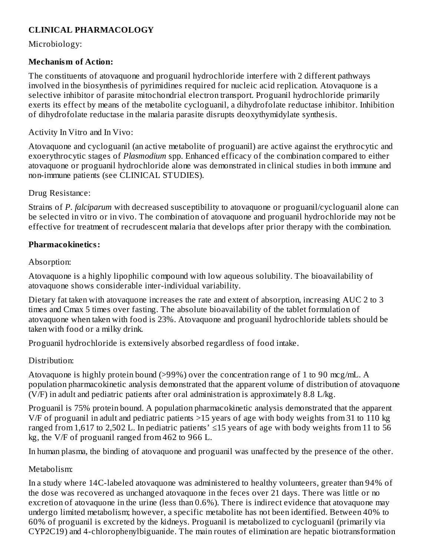## **CLINICAL PHARMACOLOGY**

Microbiology:

#### **Mechanism of Action:**

The constituents of atovaquone and proguanil hydrochloride interfere with 2 different pathways involved in the biosynthesis of pyrimidines required for nucleic acid replication. Atovaquone is a selective inhibitor of parasite mitochondrial electron transport. Proguanil hydrochloride primarily exerts its effect by means of the metabolite cycloguanil, a dihydrofolate reductase inhibitor. Inhibition of dihydrofolate reductase in the malaria parasite disrupts deoxythymidylate synthesis.

Activity In Vitro and In Vivo:

Atovaquone and cycloguanil (an active metabolite of proguanil) are active against the erythrocytic and exoerythrocytic stages of *Plasmodium* spp. Enhanced efficacy of the combination compared to either atovaquone or proguanil hydrochloride alone was demonstrated in clinical studies in both immune and non-immune patients (see CLINICAL STUDIES).

Drug Resistance:

Strains of *P. falciparum* with decreased susceptibility to atovaquone or proguanil/cycloguanil alone can be selected in vitro or in vivo. The combination of atovaquone and proguanil hydrochloride may not be effective for treatment of recrudescent malaria that develops after prior therapy with the combination.

## **Pharmacokinetics:**

#### Absorption:

Atovaquone is a highly lipophilic compound with low aqueous solubility. The bioavailability of atovaquone shows considerable inter-individual variability.

Dietary fat taken with atovaquone increases the rate and extent of absorption, increasing AUC 2 to 3 times and Cmax 5 times over fasting. The absolute bioavailability of the tablet formulation of atovaquone when taken with food is 23%. Atovaquone and proguanil hydrochloride tablets should be taken with food or a milky drink.

Proguanil hydrochloride is extensively absorbed regardless of food intake.

Distribution:

Atovaquone is highly protein bound (>99%) over the concentration range of 1 to 90 mcg/mL. A population pharmacokinetic analysis demonstrated that the apparent volume of distribution of atovaquone (V/F) in adult and pediatric patients after oral administration is approximately 8.8 L/kg.

Proguanil is 75% protein bound. A population pharmacokinetic analysis demonstrated that the apparent V/F of proguanil in adult and pediatric patients >15 years of age with body weights from 31 to 110 kg ranged from 1,617 to 2,502 L. In pediatric patients'  $\leq$ 15 years of age with body weights from 11 to 56 kg, the V/F of proguanil ranged from 462 to 966 L.

In human plasma, the binding of atovaquone and proguanil was unaffected by the presence of the other.

## Metabolism:

In a study where 14C-labeled atovaquone was administered to healthy volunteers, greater than 94% of the dose was recovered as unchanged atovaquone in the feces over 21 days. There was little or no excretion of atovaquone in the urine (less than 0.6%). There is indirect evidence that atovaquone may undergo limited metabolism; however, a specific metabolite has not been identified. Between 40% to 60% of proguanil is excreted by the kidneys. Proguanil is metabolized to cycloguanil (primarily via CYP2C19) and 4-chlorophenylbiguanide. The main routes of elimination are hepatic biotransformation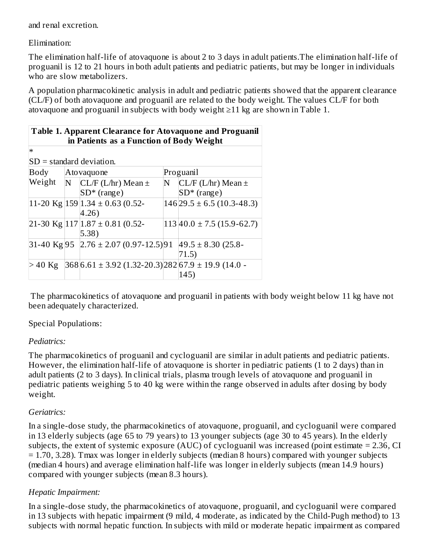and renal excretion.

Elimination:

The elimination half-life of atovaquone is about 2 to 3 days in adult patients.The elimination half-life of proguanil is 12 to 21 hours in both adult patients and pediatric patients, but may be longer in individuals who are slow metabolizers.

A population pharmacokinetic analysis in adult and pediatric patients showed that the apparent clearance (CL/F) of both atovaquone and proguanil are related to the body weight. The values CL/F for both atovaquone and proguanil in subjects with body weight ≥11 kg are shown in Table 1.

| <b>Table 1. Apparent Clearance for Atovaguone and Proguanil</b><br>in Patients as a Function of Body Weight |   |                                                             |   |                               |  |
|-------------------------------------------------------------------------------------------------------------|---|-------------------------------------------------------------|---|-------------------------------|--|
| $\ast$                                                                                                      |   |                                                             |   |                               |  |
|                                                                                                             |   | $SD = standard deviation$ .                                 |   |                               |  |
| Body                                                                                                        |   | Atovaquone                                                  |   | Proguanil                     |  |
| Weight                                                                                                      | N | $CL/F$ (L/hr) Mean $\pm$                                    | N | $CL/F$ (L/hr) Mean $\pm$      |  |
|                                                                                                             |   | $SD*$ (range)                                               |   | $SD*$ (range)                 |  |
|                                                                                                             |   | 11-20 Kg $ 159 1.34 \pm 0.63 0.52-$                         |   | $146$  29.5 ± 6.5 (10.3-48.3) |  |
|                                                                                                             |   | 4.26)                                                       |   |                               |  |
|                                                                                                             |   | 21-30 Kg $ 117 1.87 \pm 0.81$ (0.52-                        |   | $113 40.0 \pm 7.5(15.9-62.7)$ |  |
|                                                                                                             |   | $ 5.38\rangle$                                              |   |                               |  |
|                                                                                                             |   | 31-40 Kg 95 2.76 ± 2.07 (0.97-12.5) 91                      |   | $ 49.5 \pm 8.30 $ (25.8-      |  |
|                                                                                                             |   |                                                             |   | 71.5)                         |  |
| $>40$ Kg                                                                                                    |   | $368 6.61 \pm 3.92 (1.32 - 20.3) 282 67.9 \pm 19.9 (14.0 -$ |   |                               |  |
|                                                                                                             |   |                                                             |   | 145                           |  |

The pharmacokinetics of atovaquone and proguanil in patients with body weight below 11 kg have not been adequately characterized.

Special Populations:

## *Pediatrics:*

The pharmacokinetics of proguanil and cycloguanil are similar in adult patients and pediatric patients. However, the elimination half-life of atovaquone is shorter in pediatric patients (1 to 2 days) than in adult patients (2 to 3 days). In clinical trials, plasma trough levels of atovaquone and proguanil in pediatric patients weighing 5 to 40 kg were within the range observed in adults after dosing by body weight.

## *Geriatrics:*

In a single-dose study, the pharmacokinetics of atovaquone, proguanil, and cycloguanil were compared in 13 elderly subjects (age 65 to 79 years) to 13 younger subjects (age 30 to 45 years). In the elderly subjects, the extent of systemic exposure (AUC) of cycloguanil was increased (point estimate = 2.36, CI = 1.70, 3.28). Tmax was longer in elderly subjects (median 8 hours) compared with younger subjects (median 4 hours) and average elimination half-life was longer in elderly subjects (mean 14.9 hours) compared with younger subjects (mean 8.3 hours).

## *Hepatic Impairment:*

In a single-dose study, the pharmacokinetics of atovaquone, proguanil, and cycloguanil were compared in 13 subjects with hepatic impairment (9 mild, 4 moderate, as indicated by the Child-Pugh method) to 13 subjects with normal hepatic function. In subjects with mild or moderate hepatic impairment as compared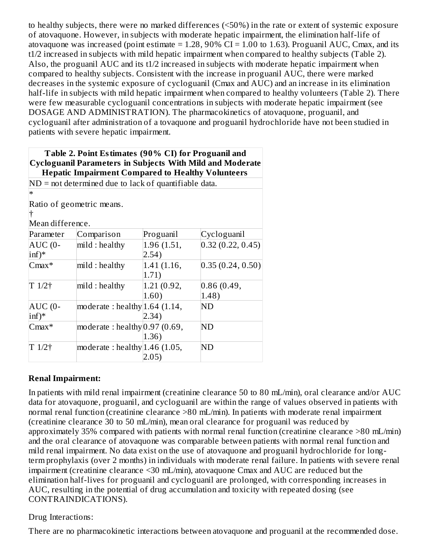to healthy subjects, there were no marked differences (<50%) in the rate or extent of systemic exposure of atovaquone. However, in subjects with moderate hepatic impairment, the elimination half-life of atovaquone was increased (point estimate =  $1.28$ , 90% CI =  $1.00$  to 1.63). Proguanil AUC, Cmax, and its t1/2 increased in subjects with mild hepatic impairment when compared to healthy subjects (Table 2). Also, the proguanil AUC and its t1/2 increased in subjects with moderate hepatic impairment when compared to healthy subjects. Consistent with the increase in proguanil AUC, there were marked decreases in the systemic exposure of cycloguanil (Cmax and AUC) and an increase in its elimination half-life in subjects with mild hepatic impairment when compared to healthy volunteers (Table 2). There were few measurable cycloguanil concentrations in subjects with moderate hepatic impairment (see DOSAGE AND ADMINISTRATION). The pharmacokinetics of atovaquone, proguanil, and cycloguanil after administration of a tovaquone and proguanil hydrochloride have not been studied in patients with severe hepatic impairment.

| Table 2. Point Estimates (90% CI) for Proguanil and<br><b>Cycloguanil Parameters in Subjects With Mild and Moderate</b><br><b>Hepatic Impairment Compared to Healthy Volunteers</b> |                                                         |             |                    |  |
|-------------------------------------------------------------------------------------------------------------------------------------------------------------------------------------|---------------------------------------------------------|-------------|--------------------|--|
|                                                                                                                                                                                     | $ND = not determined due to lack of quantifiable data.$ |             |                    |  |
| $\ast$                                                                                                                                                                              |                                                         |             |                    |  |
|                                                                                                                                                                                     | Ratio of geometric means.                               |             |                    |  |
|                                                                                                                                                                                     |                                                         |             |                    |  |
| Mean difference.                                                                                                                                                                    |                                                         |             |                    |  |
| Parameter                                                                                                                                                                           | Comparison                                              | Proguanil   | Cycloguanil        |  |
| $AUC$ (0-                                                                                                                                                                           | mild : healthy                                          | 1.96 (1.51, | 0.32(0.22, 0.45)   |  |
| $\inf$ <sup>*</sup>                                                                                                                                                                 |                                                         | 2.54)       |                    |  |
| $Cmax*$                                                                                                                                                                             | mild : healthy                                          | 1.41(1.16,  | [0.35(0.24, 0.50)] |  |
|                                                                                                                                                                                     |                                                         | 1.71)       |                    |  |
| $T1/2\dagger$                                                                                                                                                                       | mild : healthy                                          | 1.21 (0.92, | 0.86(0.49,         |  |
|                                                                                                                                                                                     |                                                         | 1.60)       | 1.48)              |  |
| AUC (0-                                                                                                                                                                             | moderate: healthy $ 1.64$ (1.14,                        |             | ND                 |  |
| $\inf$ <sup>*</sup>                                                                                                                                                                 |                                                         | 2.34)       |                    |  |
| $Cmax*$                                                                                                                                                                             | moderate: healthy $0.97(0.69,$                          |             | ND                 |  |
|                                                                                                                                                                                     |                                                         | 1.36)       |                    |  |
| T 1/2†                                                                                                                                                                              | moderate: healthy $ 1.46$ (1.05,                        |             | <b>ND</b>          |  |
|                                                                                                                                                                                     |                                                         | 2.05)       |                    |  |

## **Renal Impairment:**

In patients with mild renal impairment (creatinine clearance 50 to 80 mL/min), oral clearance and/or AUC data for atovaquone, proguanil, and cycloguanil are within the range of values observed in patients with normal renal function (creatinine clearance >80 mL/min). In patients with moderate renal impairment (creatinine clearance 30 to 50 mL/min), mean oral clearance for proguanil was reduced by approximately 35% compared with patients with normal renal function (creatinine clearance >80 mL/min) and the oral clearance of atovaquone was comparable between patients with normal renal function and mild renal impairment. No data exist on the use of atovaquone and proguanil hydrochloride for longterm prophylaxis (over 2 months) in individuals with moderate renal failure. In patients with severe renal impairment (creatinine clearance <30 mL/min), atovaquone Cmax and AUC are reduced but the elimination half-lives for proguanil and cycloguanil are prolonged, with corresponding increases in AUC, resulting in the potential of drug accumulation and toxicity with repeated dosing (see CONTRAINDICATIONS).

#### Drug Interactions:

There are no pharmacokinetic interactions between atovaquone and proguanil at the recommended dose.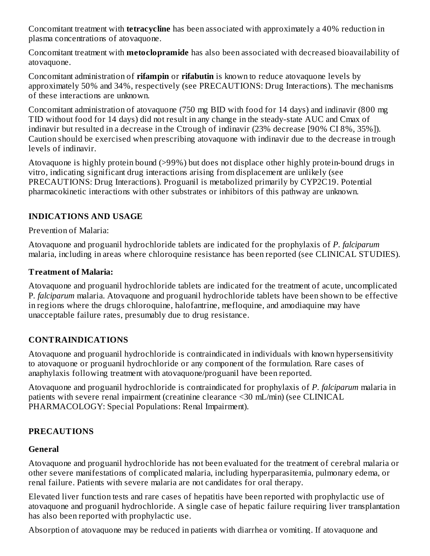Concomitant treatment with **tetracycline** has been associated with approximately a 40% reduction in plasma concentrations of atovaquone.

Concomitant treatment with **metoclopramide** has also been associated with decreased bioavailability of atovaquone.

Concomitant administration of **rifampin** or **rifabutin** is known to reduce atovaquone levels by approximately 50% and 34%, respectively (see PRECAUTIONS: Drug Interactions). The mechanisms of these interactions are unknown.

Concomitant administration of atovaquone (750 mg BID with food for 14 days) and indinavir (800 mg TID without food for 14 days) did not result in any change in the steady-state AUC and Cmax of indinavir but resulted in a decrease in the Ctrough of indinavir (23% decrease [90% CI 8%, 35%]). Caution should be exercised when prescribing atovaquone with indinavir due to the decrease in trough levels of indinavir.

Atovaquone is highly protein bound (>99%) but does not displace other highly protein-bound drugs in vitro, indicating significant drug interactions arising from displacement are unlikely (see PRECAUTIONS: Drug Interactions). Proguanil is metabolized primarily by CYP2C19. Potential pharmacokinetic interactions with other substrates or inhibitors of this pathway are unknown.

## **INDICATIONS AND USAGE**

Prevention of Malaria:

Atovaquone and proguanil hydrochloride tablets are indicated for the prophylaxis of *P. falciparum* malaria, including in areas where chloroquine resistance has been reported (see CLINICAL STUDIES).

## **Treatment of Malaria:**

Atovaquone and proguanil hydrochloride tablets are indicated for the treatment of acute, uncomplicated P*. falciparum* malaria. Atovaquone and proguanil hydrochloride tablets have been shown to be effective in regions where the drugs chloroquine, halofantrine, mefloquine, and amodiaquine may have unacceptable failure rates, presumably due to drug resistance.

## **CONTRAINDICATIONS**

Atovaquone and proguanil hydrochloride is contraindicated in individuals with known hypersensitivity to atovaquone or proguanil hydrochloride or any component of the formulation. Rare cases of anaphylaxis following treatment with atovaquone/proguanil have been reported.

Atovaquone and proguanil hydrochloride is contraindicated for prophylaxis of *P. falciparum* malaria in patients with severe renal impairment (creatinine clearance <30 mL/min) (see CLINICAL PHARMACOLOGY: Special Populations: Renal Impairment).

#### **PRECAUTIONS**

#### **General**

Atovaquone and proguanil hydrochloride has not been evaluated for the treatment of cerebral malaria or other severe manifestations of complicated malaria, including hyperparasitemia, pulmonary edema, or renal failure. Patients with severe malaria are not candidates for oral therapy.

Elevated liver function tests and rare cases of hepatitis have been reported with prophylactic use of atovaquone and proguanil hydrochloride. A single case of hepatic failure requiring liver transplantation has also been reported with prophylactic use.

Absorption of atovaquone may be reduced in patients with diarrhea or vomiting. If atovaquone and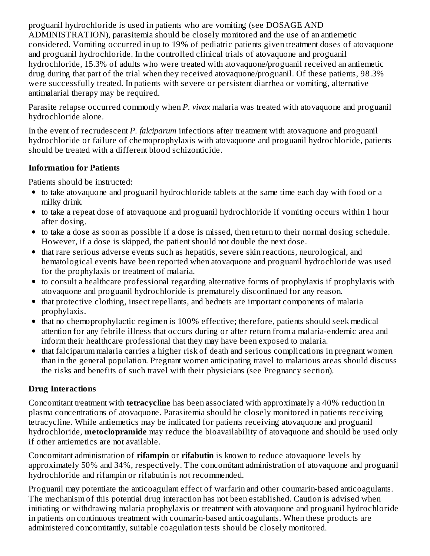proguanil hydrochloride is used in patients who are vomiting (see DOSAGE AND ADMINISTRATION), parasitemia should be closely monitored and the use of an antiemetic considered. Vomiting occurred in up to 19% of pediatric patients given treatment doses of atovaquone and proguanil hydrochloride. In the controlled clinical trials of atovaquone and proguanil hydrochloride, 15.3% of adults who were treated with atovaquone/proguanil received an antiemetic drug during that part of the trial when they received atovaquone/proguanil. Of these patients, 98.3% were successfully treated. In patients with severe or persistent diarrhea or vomiting, alternative antimalarial therapy may be required.

Parasite relapse occurred commonly when *P. vivax* malaria was treated with atovaquone and proguanil hydrochloride alone.

In the event of recrudescent *P. falciparum* infections after treatment with atovaquone and proguanil hydrochloride or failure of chemoprophylaxis with atovaquone and proguanil hydrochloride, patients should be treated with a different blood schizonticide.

#### **Information for Patients**

Patients should be instructed:

- to take atovaquone and proguanil hydrochloride tablets at the same time each day with food or a milky drink.
- to take a repeat dose of atovaquone and proguanil hydrochloride if vomiting occurs within 1 hour after dosing.
- to take a dose as soon as possible if a dose is missed, then return to their normal dosing schedule. However, if a dose is skipped, the patient should not double the next dose.
- that rare serious adverse events such as hepatitis, severe skin reactions, neurological, and hematological events have been reported when atovaquone and proguanil hydrochloride was used for the prophylaxis or treatment of malaria.
- to consult a healthcare professional regarding alternative forms of prophylaxis if prophylaxis with atovaquone and proguanil hydrochloride is prematurely discontinued for any reason.
- that protective clothing, insect repellants, and bednets are important components of malaria prophylaxis.
- that no chemoprophylactic regimen is 100% effective; therefore, patients should seek medical attention for any febrile illness that occurs during or after return from a malaria-endemic area and inform their healthcare professional that they may have been exposed to malaria.
- that falciparum malaria carries a higher risk of death and serious complications in pregnant women than in the general population. Pregnant women anticipating travel to malarious areas should discuss the risks and benefits of such travel with their physicians (see Pregnancy section).

## **Drug Interactions**

Concomitant treatment with **tetracycline** has been associated with approximately a 40% reduction in plasma concentrations of atovaquone. Parasitemia should be closely monitored in patients receiving tetracycline. While antiemetics may be indicated for patients receiving atovaquone and proguanil hydrochloride, **metoclopramide** may reduce the bioavailability of atovaquone and should be used only if other antiemetics are not available.

Concomitant administration of **rifampin** or **rifabutin** is known to reduce atovaquone levels by approximately 50% and 34%, respectively. The concomitant administration of atovaquone and proguanil hydrochloride and rifampin or rifabutin is not recommended.

Proguanil may potentiate the anticoagulant effect of warfarin and other coumarin-based anticoagulants. The mechanism of this potential drug interaction has not been established. Caution is advised when initiating or withdrawing malaria prophylaxis or treatment with atovaquone and proguanil hydrochloride in patients on continuous treatment with coumarin-based anticoagulants. When these products are administered concomitantly, suitable coagulation tests should be closely monitored.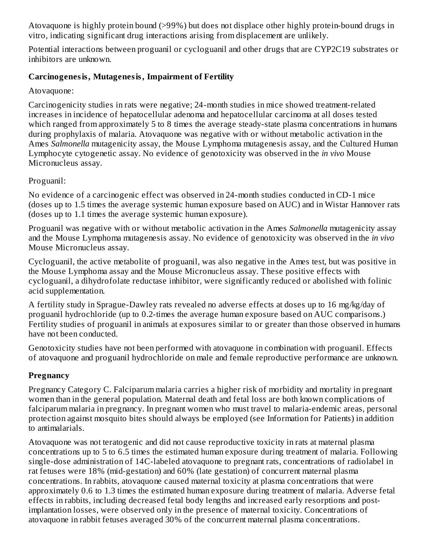Atovaquone is highly protein bound (>99%) but does not displace other highly protein-bound drugs in vitro, indicating significant drug interactions arising from displacement are unlikely.

Potential interactions between proguanil or cycloguanil and other drugs that are CYP2C19 substrates or inhibitors are unknown.

## **Carcinogenesis, Mutagenesis, Impairment of Fertility**

Atovaquone:

Carcinogenicity studies in rats were negative; 24-month studies in mice showed treatment-related increases in incidence of hepatocellular adenoma and hepatocellular carcinoma at all doses tested which ranged from approximately 5 to 8 times the average steady-state plasma concentrations in humans during prophylaxis of malaria. Atovaquone was negative with or without metabolic activation in the Ames *Salmonella* mutagenicity assay, the Mouse Lymphoma mutagenesis assay, and the Cultured Human Lymphocyte cytogenetic assay. No evidence of genotoxicity was observed in the *in vivo* Mouse Micronucleus assay.

Proguanil:

No evidence of a carcinogenic effect was observed in 24-month studies conducted in CD-1 mice (doses up to 1.5 times the average systemic human exposure based on AUC) and in Wistar Hannover rats (doses up to 1.1 times the average systemic human exposure).

Proguanil was negative with or without metabolic activation in the Ames *Salmonella* mutagenicity assay and the Mouse Lymphoma mutagenesis assay. No evidence of genotoxicity was observed in the *in vivo* Mouse Micronucleus assay.

Cycloguanil, the active metabolite of proguanil, was also negative in the Ames test, but was positive in the Mouse Lymphoma assay and the Mouse Micronucleus assay. These positive effects with cycloguanil, a dihydrofolate reductase inhibitor, were significantly reduced or abolished with folinic acid supplementation.

A fertility study in Sprague-Dawley rats revealed no adverse effects at doses up to 16 mg/kg/day of proguanil hydrochloride (up to 0.2-times the average human exposure based on AUC comparisons.) Fertility studies of proguanil in animals at exposures similar to or greater than those observed in humans have not been conducted.

Genotoxicity studies have not been performed with atovaquone in combination with proguanil. Effects of atovaquone and proguanil hydrochloride on male and female reproductive performance are unknown.

## **Pregnancy**

Pregnancy Category C. Falciparum malaria carries a higher risk of morbidity and mortality in pregnant women than in the general population. Maternal death and fetal loss are both known complications of falciparum malaria in pregnancy. In pregnant women who must travel to malaria-endemic areas, personal protection against mosquito bites should always be employed (see Information for Patients) in addition to antimalarials.

Atovaquone was not teratogenic and did not cause reproductive toxicity in rats at maternal plasma concentrations up to 5 to 6.5 times the estimated human exposure during treatment of malaria. Following single-dose administration of 14C-labeled atovaquone to pregnant rats, concentrations of radiolabel in rat fetuses were 18% (mid-gestation) and 60% (late gestation) of concurrent maternal plasma concentrations. In rabbits, atovaquone caused maternal toxicity at plasma concentrations that were approximately 0.6 to 1.3 times the estimated human exposure during treatment of malaria. Adverse fetal effects in rabbits, including decreased fetal body lengths and increased early resorptions and postimplantation losses, were observed only in the presence of maternal toxicity. Concentrations of atovaquone in rabbit fetuses averaged 30% of the concurrent maternal plasma concentrations.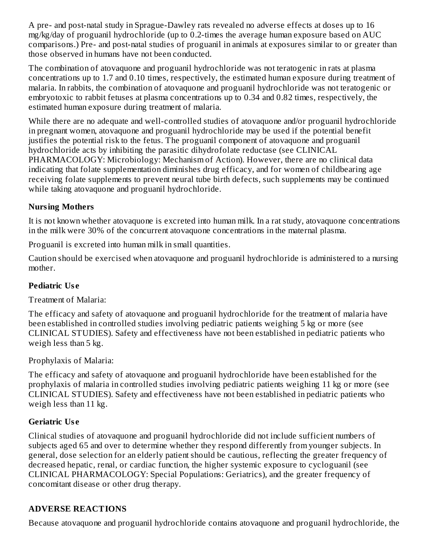A pre- and post-natal study in Sprague-Dawley rats revealed no adverse effects at doses up to 16 mg/kg/day of proguanil hydrochloride (up to 0.2-times the average human exposure based on AUC comparisons.) Pre- and post-natal studies of proguanil in animals at exposures similar to or greater than those observed in humans have not been conducted.

The combination of atovaquone and proguanil hydrochloride was not teratogenic in rats at plasma concentrations up to 1.7 and 0.10 times, respectively, the estimated human exposure during treatment of malaria. In rabbits, the combination of atovaquone and proguanil hydrochloride was not teratogenic or embryotoxic to rabbit fetuses at plasma concentrations up to 0.34 and 0.82 times, respectively, the estimated human exposure during treatment of malaria.

While there are no adequate and well-controlled studies of atovaquone and/or proguanil hydrochloride in pregnant women, atovaquone and proguanil hydrochloride may be used if the potential benefit justifies the potential risk to the fetus. The proguanil component of atovaquone and proguanil hydrochloride acts by inhibiting the parasitic dihydrofolate reductase (see CLINICAL PHARMACOLOGY: Microbiology: Mechanism of Action). However, there are no clinical data indicating that folate supplementation diminishes drug efficacy, and for women of childbearing age receiving folate supplements to prevent neural tube birth defects, such supplements may be continued while taking atovaquone and proguanil hydrochloride.

## **Nursing Mothers**

It is not known whether atovaquone is excreted into human milk. In a rat study, atovaquone concentrations in the milk were 30% of the concurrent atovaquone concentrations in the maternal plasma.

Proguanil is excreted into human milk in small quantities.

Caution should be exercised when atovaquone and proguanil hydrochloride is administered to a nursing mother.

# **Pediatric Us e**

Treatment of Malaria:

The efficacy and safety of atovaquone and proguanil hydrochloride for the treatment of malaria have been established in controlled studies involving pediatric patients weighing 5 kg or more (see CLINICAL STUDIES). Safety and effectiveness have not been established in pediatric patients who weigh less than 5 kg.

Prophylaxis of Malaria:

The efficacy and safety of atovaquone and proguanil hydrochloride have been established for the prophylaxis of malaria in controlled studies involving pediatric patients weighing 11 kg or more (see CLINICAL STUDIES). Safety and effectiveness have not been established in pediatric patients who weigh less than 11 kg.

## **Geriatric Us e**

Clinical studies of atovaquone and proguanil hydrochloride did not include sufficient numbers of subjects aged 65 and over to determine whether they respond differently from younger subjects. In general, dose selection for an elderly patient should be cautious, reflecting the greater frequency of decreased hepatic, renal, or cardiac function, the higher systemic exposure to cycloguanil (see CLINICAL PHARMACOLOGY: Special Populations: Geriatrics), and the greater frequency of concomitant disease or other drug therapy.

# **ADVERSE REACTIONS**

Because atovaquone and proguanil hydrochloride contains atovaquone and proguanil hydrochloride, the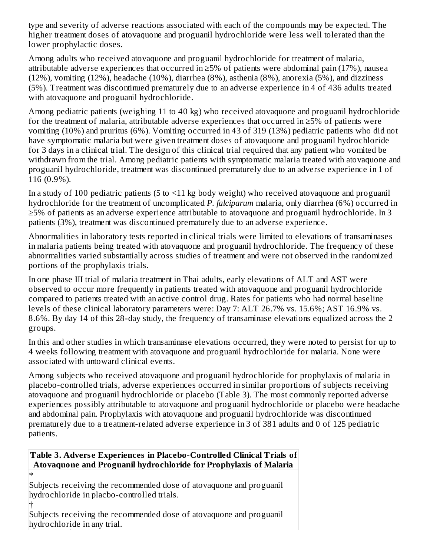type and severity of adverse reactions associated with each of the compounds may be expected. The higher treatment doses of atovaquone and proguanil hydrochloride were less well tolerated than the lower prophylactic doses.

Among adults who received atovaquone and proguanil hydrochloride for treatment of malaria, attributable adverse experiences that occurred in  $\geq$ 5% of patients were abdominal pain (17%), nausea (12%), vomiting (12%), headache (10%), diarrhea (8%), asthenia (8%), anorexia (5%), and dizziness (5%). Treatment was discontinued prematurely due to an adverse experience in 4 of 436 adults treated with atovaquone and proguanil hydrochloride.

Among pediatric patients (weighing 11 to 40 kg) who received atovaquone and proguanil hydrochloride for the treatment of malaria, attributable adverse experiences that occurred in ≥5% of patients were vomiting (10%) and pruritus (6%). Vomiting occurred in 43 of 319 (13%) pediatric patients who did not have symptomatic malaria but were given treatment doses of atovaquone and proguanil hydrochloride for 3 days in a clinical trial. The design of this clinical trial required that any patient who vomited be withdrawn from the trial. Among pediatric patients with symptomatic malaria treated with atovaquone and proguanil hydrochloride, treatment was discontinued prematurely due to an adverse experience in 1 of 116 (0.9%).

In a study of 100 pediatric patients (5 to <11 kg body weight) who received atovaquone and proguanil hydrochloride for the treatment of uncomplicated *P. falciparum* malaria, only diarrhea (6%) occurred in ≥5% of patients as an adverse experience attributable to atovaquone and proguanil hydrochloride. In 3 patients (3%), treatment was discontinued prematurely due to an adverse experience.

Abnormalities in laboratory tests reported in clinical trials were limited to elevations of transaminases in malaria patients being treated with atovaquone and proguanil hydrochloride. The frequency of these abnormalities varied substantially across studies of treatment and were not observed in the randomized portions of the prophylaxis trials.

In one phase III trial of malaria treatment in Thai adults, early elevations of ALT and AST were observed to occur more frequently in patients treated with atovaquone and proguanil hydrochloride compared to patients treated with an active control drug. Rates for patients who had normal baseline levels of these clinical laboratory parameters were: Day 7: ALT 26.7% vs. 15.6%; AST 16.9% vs. 8.6%. By day 14 of this 28-day study, the frequency of transaminase elevations equalized across the 2 groups.

In this and other studies in which transaminase elevations occurred, they were noted to persist for up to 4 weeks following treatment with atovaquone and proguanil hydrochloride for malaria. None were associated with untoward clinical events.

Among subjects who received atovaquone and proguanil hydrochloride for prophylaxis of malaria in placebo-controlled trials, adverse experiences occurred in similar proportions of subjects receiving atovaquone and proguanil hydrochloride or placebo (Table 3). The most commonly reported adverse experiences possibly attributable to atovaquone and proguanil hydrochloride or placebo were headache and abdominal pain. Prophylaxis with atovaquone and proguanil hydrochloride was discontinued prematurely due to a treatment-related adverse experience in 3 of 381 adults and 0 of 125 pediatric patients.

## **Table 3. Advers e Experiences in Placebo-Controlled Clinical Trials of Atovaquone and Proguanil hydrochloride for Prophylaxis of Malaria**

\* Subjects receiving the recommended dose of atovaquone and proguanil hydrochloride in placbo-controlled trials.

† Subjects receiving the recommended dose of atovaquone and proguanil hydrochloride in any trial.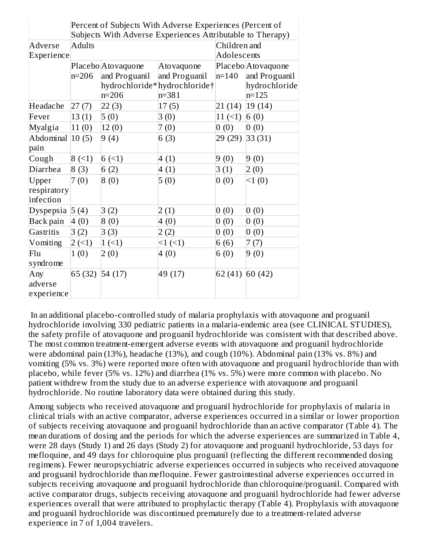|                     | Percent of Subjects With Adverse Experiences (Percent of<br>Subjects With Adverse Experiences Attributable to Therapy) |                    |                              |                 |                    |  |  |
|---------------------|------------------------------------------------------------------------------------------------------------------------|--------------------|------------------------------|-----------------|--------------------|--|--|
| Adverse             | <b>Adults</b>                                                                                                          |                    |                              |                 | Children and       |  |  |
| Experience          |                                                                                                                        |                    |                              |                 | Adolescents        |  |  |
|                     |                                                                                                                        | Placebo Atovaquone | Atovaquone                   |                 | Placebo Atovaquone |  |  |
|                     | $n=206$                                                                                                                | and Proguanil      | and Proguanil                | $n=140$         | and Proguanil      |  |  |
|                     |                                                                                                                        |                    | hydrochloride*hydrochloride† |                 | hydrochloride      |  |  |
|                     |                                                                                                                        | $n = 206$          | $n = 381$                    |                 | $n = 125$          |  |  |
| Headache            | 27(7)                                                                                                                  | 22(3)              | 17(5)                        | 21 (14)         | 19(14)             |  |  |
| Fever               | 13(1)                                                                                                                  | 5(0)               | 3(0)                         | 11(             | 6(0)               |  |  |
| Myalgia             | 11(0)                                                                                                                  | 12(0)              | 7(0)                         | 0(0)            | 0(0)               |  |  |
| Abdominal $ 10(5) $ |                                                                                                                        | 9(4)               | 6(3)                         | 29 (29) 33 (31) |                    |  |  |
| pain                |                                                                                                                        |                    |                              |                 |                    |  |  |
| Cough               | 8(1)                                                                                                                   | 6(1)               | 4(1)                         | 9(0)            | 9(0)               |  |  |
| Diarrhea            | 8(3)                                                                                                                   | 6(2)               | 4(1)                         | 3(1)            | 2(0)               |  |  |
| Upper               | 7(0)                                                                                                                   | 8(0)               | 5(0)                         | 0(0)            | 1(0)               |  |  |
| respiratory         |                                                                                                                        |                    |                              |                 |                    |  |  |
| infection           |                                                                                                                        |                    |                              |                 |                    |  |  |
| Dyspepsia 5 (4)     |                                                                                                                        | 3(2)               | 2(1)                         | 0(0)            | 0(0)               |  |  |
| Back pain           | 4(0)                                                                                                                   | 8(0)               | 4(0)                         | 0(0)            | 0(0)               |  |  |
| Gastritis           | 3(2)                                                                                                                   | 3(3)               | 2(2)                         | 0(0)            | 0(0)               |  |  |
| Vomiting            | 2(1)                                                                                                                   | 1(1)               | <1(                          | 6(6)            | 7(7)               |  |  |
| Flu                 | 1(0)                                                                                                                   | 2(0)               | 4(0)                         | 6(0)            | 9(0)               |  |  |
| syndrome            |                                                                                                                        |                    |                              |                 |                    |  |  |
| Any                 | 65 (32) 54 (17)                                                                                                        |                    | 49 (17)                      | 62 (41) 60 (42) |                    |  |  |
| adverse             |                                                                                                                        |                    |                              |                 |                    |  |  |
| experience          |                                                                                                                        |                    |                              |                 |                    |  |  |

In an additional placebo-controlled study of malaria prophylaxis with atovaquone and proguanil hydrochloride involving 330 pediatric patients in a malaria-endemic area (see CLINICAL STUDIES), the safety profile of atovaquone and proguanil hydrochloride was consistent with that described above. The most common treatment-emergent adverse events with atovaquone and proguanil hydrochloride were abdominal pain (13%), headache (13%), and cough (10%). Abdominal pain (13% vs. 8%) and vomiting (5% vs. 3%) were reported more often with atovaquone and proguanil hydrochloride than with placebo, while fever (5% vs. 12%) and diarrhea (1% vs. 5%) were more common with placebo. No patient withdrew from the study due to an adverse experience with atovaquone and proguanil hydrochloride. No routine laboratory data were obtained during this study.

Among subjects who received atovaquone and proguanil hydrochloride for prophylaxis of malaria in clinical trials with an active comparator, adverse experiences occurred in a similar or lower proportion of subjects receiving atovaquone and proguanil hydrochloride than an active comparator (Table 4). The mean durations of dosing and the periods for which the adverse experiences are summarized in Table 4, were 28 days (Study 1) and 26 days (Study 2) for atovaquone and proguanil hydrochloride, 53 days for mefloquine, and 49 days for chloroquine plus proguanil (reflecting the different recommended dosing regimens). Fewer neuropsychiatric adverse experiences occurred in subjects who received atovaquone and proguanil hydrochloride than mefloquine. Fewer gastrointestinal adverse experiences occurred in subjects receiving atovaquone and proguanil hydrochloride than chloroquine/proguanil. Compared with active comparator drugs, subjects receiving atovaquone and proguanil hydrochloride had fewer adverse experiences overall that were attributed to prophylactic therapy (Table 4). Prophylaxis with atovaquone and proguanil hydrochloride was discontinued prematurely due to a treatment-related adverse experience in 7 of 1,004 travelers.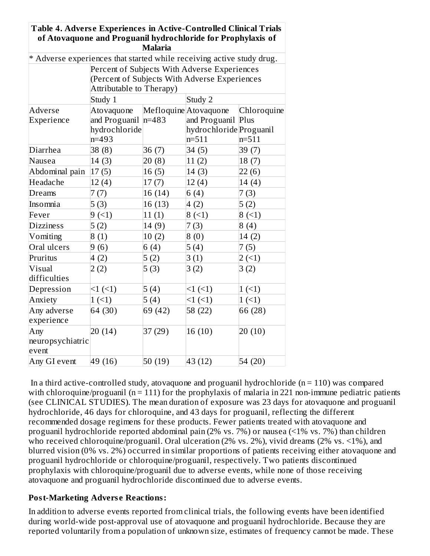| Table 4. Adverse Experiences in Active-Controlled Clinical Trials     |                                                              |                |                                               |             |
|-----------------------------------------------------------------------|--------------------------------------------------------------|----------------|-----------------------------------------------|-------------|
|                                                                       | of Atovaquone and Proguanil hydrochloride for Prophylaxis of |                |                                               |             |
|                                                                       |                                                              | <b>Malaria</b> |                                               |             |
| * Adverse experiences that started while receiving active study drug. |                                                              |                |                                               |             |
|                                                                       |                                                              |                | Percent of Subjects With Adverse Experiences  |             |
|                                                                       |                                                              |                | (Percent of Subjects With Adverse Experiences |             |
|                                                                       | Attributable to Therapy)<br>Study 1                          |                | Study 2                                       |             |
| Adverse                                                               |                                                              |                | Mefloquine Atovaquone                         | Chloroquine |
| Experience                                                            | Atovaquone<br>and Proguanil                                  | $n = 483$      | and Proguanil Plus                            |             |
|                                                                       | hydrochloride                                                |                | hydrochloride Proguanil                       |             |
|                                                                       | $n = 493$                                                    |                | $n = 511$                                     | $n=511$     |
| Diarrhea                                                              | 38(8)                                                        | 36(7)          | 34(5)                                         | 39 (7)      |
| Nausea                                                                | 14(3)                                                        | 20(8)          | 11(2)                                         | 18(7)       |
| Abdominal pain                                                        | 17(5)                                                        | 16(5)          | 14(3)                                         | 22(6)       |
| Headache                                                              | 12(4)                                                        | 17(7)          | 12(4)                                         | 14(4)       |
| Dreams                                                                | 7(7)                                                         | 16 (14)        | 6(4)                                          | 7(3)        |
| Insomnia                                                              | 5(3)                                                         | 16 (13)        | 4(2)                                          | 5(2)        |
| Fever                                                                 | 9(1)                                                         | 11(1)          | 8(1)                                          | 8(1)        |
| <b>Dizziness</b>                                                      | 5(2)                                                         | 14(9)          | 7(3)                                          | 8(4)        |
| Vomiting                                                              | 8(1)                                                         | 10(2)          | 8(0)                                          | 14(2)       |
| Oral ulcers                                                           | 9(6)                                                         | 6(4)           | 5(4)                                          | 7(5)        |
| Pruritus                                                              | 4(2)                                                         | 5(2)           | 3(1)                                          | 2(1)        |
| Visual                                                                | 2(2)                                                         | 5(3)           | 3(2)                                          | 3(2)        |
| difficulties                                                          |                                                              |                |                                               |             |
| Depression                                                            | $<1$ ( $<1$ )                                                | 5(4)           | <1(                                           | 1(1)        |
| Anxiety                                                               | 1(                                                           | 5(4)           | <1(                                           | 1(1)        |
| Any adverse                                                           | 64 (30)                                                      | 69 (42)        | 58 (22)                                       | 66 (28)     |
| experience                                                            |                                                              |                |                                               |             |
| Any                                                                   | 20(14)                                                       | 37 (29)        | 16(10)                                        | 20(10)      |
| neuropsychiatric                                                      |                                                              |                |                                               |             |
| event                                                                 |                                                              |                |                                               |             |
| Any GI event                                                          | 49 (16)                                                      | 50(19)         | 43 (12)                                       | 54 (20)     |

In a third active-controlled study, atovaquone and proguanil hydrochloride ( $n = 110$ ) was compared with chloroquine/proguanil ( $n = 111$ ) for the prophylaxis of malaria in 221 non-immune pediatric patients (see CLINICAL STUDIES). The mean duration of exposure was 23 days for atovaquone and proguanil hydrochloride, 46 days for chloroquine, and 43 days for proguanil, reflecting the different recommended dosage regimens for these products. Fewer patients treated with atovaquone and proguanil hydrochloride reported abdominal pain (2% vs. 7%) or nausea (<1% vs. 7%) than children who received chloroquine/proguanil. Oral ulceration (2% vs. 2%), vivid dreams (2% vs. <1%), and blurred vision (0% vs. 2%) occurred in similar proportions of patients receiving either atovaquone and proguanil hydrochloride or chloroquine/proguanil, respectively. Two patients discontinued prophylaxis with chloroquine/proguanil due to adverse events, while none of those receiving atovaquone and proguanil hydrochloride discontinued due to adverse events.

#### **Post-Marketing Advers e Reactions:**

In addition to adverse events reported from clinical trials, the following events have been identified during world-wide post-approval use of atovaquone and proguanil hydrochloride. Because they are reported voluntarily from a population of unknown size, estimates of frequency cannot be made. These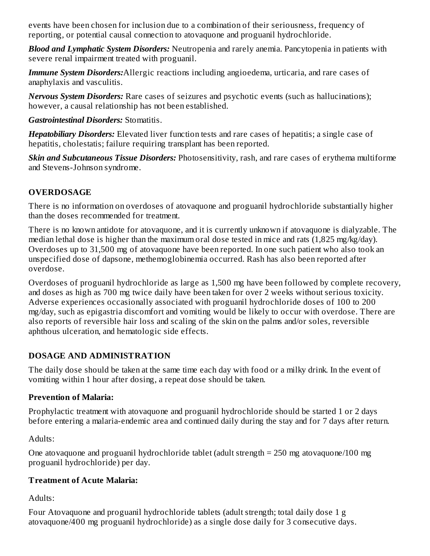events have been chosen for inclusion due to a combination of their seriousness, frequency of reporting, or potential causal connection to atovaquone and proguanil hydrochloride.

*Blood and Lymphatic System Disorders:* Neutropenia and rarely anemia. Pancytopenia in patients with severe renal impairment treated with proguanil.

*Immune System Disorders:*Allergic reactions including angioedema, urticaria, and rare cases of anaphylaxis and vasculitis.

*Nervous System Disorders:* Rare cases of seizures and psychotic events (such as hallucinations); however, a causal relationship has not been established.

*Gastrointestinal Disorders:* Stomatitis.

*Hepatobiliary Disorders:* Elevated liver function tests and rare cases of hepatitis; a single case of hepatitis, cholestatis; failure requiring transplant has been reported.

*Skin and Subcutaneous Tissue Disorders:* Photosensitivity, rash, and rare cases of erythema multiforme and Stevens-Johnson syndrome.

# **OVERDOSAGE**

There is no information on overdoses of atovaquone and proguanil hydrochloride substantially higher than the doses recommended for treatment.

There is no known antidote for atovaquone, and it is currently unknown if atovaquone is dialyzable. The median lethal dose is higher than the maximum oral dose tested in mice and rats (1,825 mg/kg/day). Overdoses up to 31,500 mg of atovaquone have been reported. In one such patient who also took an unspecified dose of dapsone, methemoglobinemia occurred. Rash has also been reported after overdose.

Overdoses of proguanil hydrochloride as large as 1,500 mg have been followed by complete recovery, and doses as high as 700 mg twice daily have been taken for over 2 weeks without serious toxicity. Adverse experiences occasionally associated with proguanil hydrochloride doses of 100 to 200 mg/day, such as epigastria discomfort and vomiting would be likely to occur with overdose. There are also reports of reversible hair loss and scaling of the skin on the palms and/or soles, reversible aphthous ulceration, and hematologic side effects.

# **DOSAGE AND ADMINISTRATION**

The daily dose should be taken at the same time each day with food or a milky drink. In the event of vomiting within 1 hour after dosing, a repeat dose should be taken.

# **Prevention of Malaria:**

Prophylactic treatment with atovaquone and proguanil hydrochloride should be started 1 or 2 days before entering a malaria-endemic area and continued daily during the stay and for 7 days after return.

Adults:

One atovaquone and proguanil hydrochloride tablet (adult strength = 250 mg atovaquone/100 mg proguanil hydrochloride) per day.

# **Treatment of Acute Malaria:**

Adults:

Four Atovaquone and proguanil hydrochloride tablets (adult strength; total daily dose 1 g atovaquone/400 mg proguanil hydrochloride) as a single dose daily for 3 consecutive days.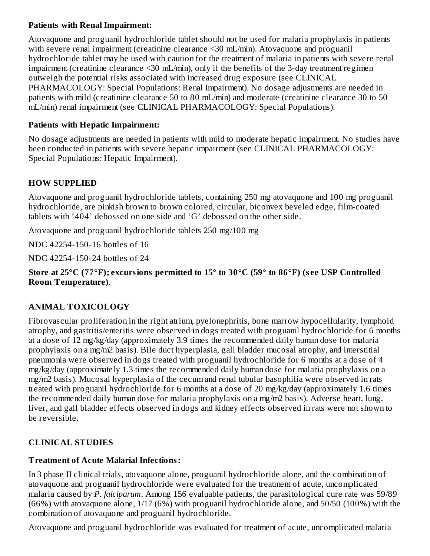## **Patients with Renal Impairment:**

Atovaquone and proguanil hydrochloride tablet should not be used for malaria prophylaxis in patients with severe renal impairment (creatinine clearance <30 mL/min). Atovaquone and proguanil hydrochloride tablet may be used with caution for the treatment of malaria in patients with severe renal impairment (creatinine clearance <30 mL/min), only if the benefits of the 3-day treatment regimen outweigh the potential risks associated with increased drug exposure (see CLINICAL PHARMACOLOGY: Special Populations: Renal Impairment). No dosage adjustments are needed in patients with mild (creatinine clearance 50 to 80 mL/min) and moderate (creatinine clearance 30 to 50 mL/min) renal impairment (see CLINICAL PHARMACOLOGY: Special Populations).

#### **Patients with Hepatic Impairment:**

No dosage adjustments are needed in patients with mild to moderate hepatic impairment. No studies have been conducted in patients with severe hepatic impairment (see CLINICAL PHARMACOLOGY: Special Populations: Hepatic Impairment).

## **HOW SUPPLIED**

Atovaquone and proguanil hydrochloride tablets, containing 250 mg atovaquone and 100 mg proguanil hydrochloride, are pinkish brown to brown colored, circular, biconvex beveled edge, film-coated tablets with '404' debossed on one side and 'G' debossed on the other side.

Atovaquone and proguanil hydrochloride tablets 250 mg/100 mg

NDC 42254-150-16 bottles of 16

NDC 42254-150-24 bottles of 24

#### **Store at 25°C (77°F); excursions permitted to 15° to 30°C (59° to 86°F) (s ee USP Controlled Room Temperature)**.

# **ANIMAL TOXICOLOGY**

Fibrovascular proliferation in the right atrium, pyelonephritis, bone marrow hypocellularity, lymphoid atrophy, and gastritis/enteritis were observed in dogs treated with proguanil hydrochloride for 6 months at a dose of 12 mg/kg/day (approximately 3.9 times the recommended daily human dose for malaria prophylaxis on a mg/m2 basis). Bile duct hyperplasia, gall bladder mucosal atrophy, and interstitial pneumonia were observed in dogs treated with proguanil hydrochloride for 6 months at a dose of 4 mg/kg/day (approximately 1.3 times the recommended daily human dose for malaria prophylaxis on a mg/m2 basis). Mucosal hyperplasia of the cecum and renal tubular basophilia were observed in rats treated with proguanil hydrochloride for 6 months at a dose of 20 mg/kg/day (approximately 1.6 times the recommended daily human dose for malaria prophylaxis on a mg/m2 basis). Adverse heart, lung, liver, and gall bladder effects observed in dogs and kidney effects observed in rats were not shown to be reversible.

## **CLINICAL STUDIES**

## **Treatment of Acute Malarial Infections:**

In 3 phase II clinical trials, atovaquone alone, proguanil hydrochloride alone, and the combination of atovaquone and proguanil hydrochloride were evaluated for the treatment of acute, uncomplicated malaria caused by *P. falciparum*. Among 156 evaluable patients, the parasitological cure rate was 59/89 (66%) with atovaquone alone, 1/17 (6%) with proguanil hydrochloride alone, and 50/50 (100%) with the combination of atovaquone and proguanil hydrochloride.

Atovaquone and proguanil hydrochloride was evaluated for treatment of acute, uncomplicated malaria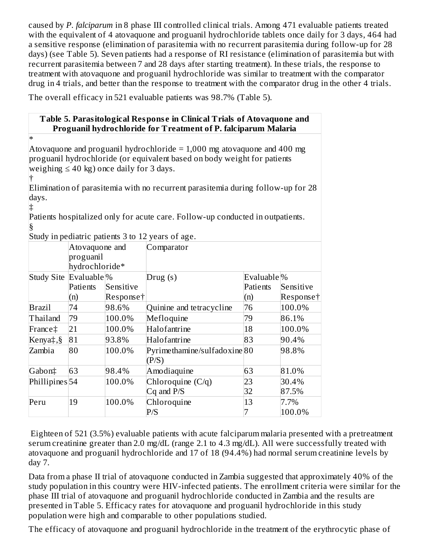caused by *P. falciparum* in 8 phase III controlled clinical trials. Among 471 evaluable patients treated with the equivalent of 4 atovaquone and proguanil hydrochloride tablets once daily for 3 days, 464 had a sensitive response (elimination of parasitemia with no recurrent parasitemia during follow-up for 28 days) (see Table 5). Seven patients had a response of RI resistance (elimination of parasitemia but with recurrent parasitemia between 7 and 28 days after starting treatment). In these trials, the response to treatment with atovaquone and proguanil hydrochloride was similar to treatment with the comparator drug in 4 trials, and better than the response to treatment with the comparator drug in the other 4 trials.

The overall efficacy in 521 evaluable patients was 98.7% (Table 5).

## **Table 5. Parasitological Respons e in Clinical Trials of Atovaquone and Proguanil hydrochloride for Treatment of P. falciparum Malaria**

\* Atovaquone and proguanil hydrochloride  $= 1,000$  mg atovaquone and 400 mg proguanil hydrochloride (or equivalent based on body weight for patients weighing  $\leq 40$  kg) once daily for 3 days.

† Elimination of parasitemia with no recurrent parasitemia during follow-up for 28 days.

‡ Patients hospitalized only for acute care. Follow-up conducted in outpatients. §

|                                     |                |           | Study in pediatric patients 3 to 12 years of age. |                          |           |  |  |
|-------------------------------------|----------------|-----------|---------------------------------------------------|--------------------------|-----------|--|--|
|                                     | Atovaquone and |           | Comparator                                        |                          |           |  |  |
|                                     | proguanil      |           |                                                   |                          |           |  |  |
|                                     | hydrochloride* |           |                                                   |                          |           |  |  |
| Study Site Evaluable <sup>[%]</sup> |                |           | Drug(s)                                           | Evaluable <sup>[%]</sup> |           |  |  |
|                                     | Patients       | Sensitive |                                                   | Patients                 | Sensitive |  |  |
|                                     | (n)            | Responset |                                                   | (n)                      | Response† |  |  |
| Brazil                              | 74             | 98.6%     | Quinine and tetracycline                          | 76                       | 100.0%    |  |  |
| Thailand                            | 79             | 100.0%    | Mefloquine                                        | 79                       | 86.1%     |  |  |
| France‡                             | 21             | 100.0%    | Halofantrine                                      | 18                       | 100.0%    |  |  |
| Kenya‡,§                            | 81             | 93.8%     | Halofantrine                                      | 83                       | 90.4%     |  |  |
| Zambia                              | 80             | 100.0%    | Pyrimethamine/sulfadoxine 80<br>(P/S)             |                          | 98.8%     |  |  |
| Gabon‡                              | 63             | 98.4%     | Amodiaquine                                       | 63                       | 81.0%     |  |  |
| Phillipines <sup>54</sup>           |                | 100.0%    | Chloroquine (C/q)                                 | 23                       | 30.4%     |  |  |
|                                     |                |           | $Cq$ and $P/S$                                    | 32                       | 87.5%     |  |  |
| Peru                                | 19             | 100.0%    | Chloroquine                                       | 13                       | 7.7%      |  |  |
|                                     |                |           | P/S                                               |                          | 100.0%    |  |  |

Eighteen of 521 (3.5%) evaluable patients with acute falciparum malaria presented with a pretreatment serum creatinine greater than 2.0 mg/dL (range 2.1 to 4.3 mg/dL). All were successfully treated with atovaquone and proguanil hydrochloride and 17 of 18 (94.4%) had normal serum creatinine levels by day 7.

Data from a phase II trial of atovaquone conducted in Zambia suggested that approximately 40% of the study population in this country were HIV-infected patients. The enrollment criteria were similar for the phase III trial of atovaquone and proguanil hydrochloride conducted in Zambia and the results are presented in Table 5. Efficacy rates for atovaquone and proguanil hydrochloride in this study population were high and comparable to other populations studied.

The efficacy of atovaquone and proguanil hydrochloride in the treatment of the erythrocytic phase of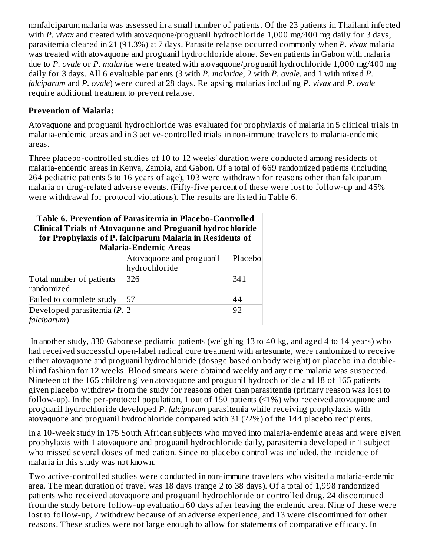nonfalciparum malaria was assessed in a small number of patients. Of the 23 patients in Thailand infected with *P. vivax* and treated with atovaquone/proguanil hydrochloride 1,000 mg/400 mg daily for 3 days, parasitemia cleared in 21 (91.3%) at 7 days. Parasite relapse occurred commonly when *P. vivax* malaria was treated with atovaquone and proguanil hydrochloride alone. Seven patients in Gabon with malaria due to *P. ovale* or *P. malariae* were treated with atovaquone/proguanil hydrochloride 1,000 mg/400 mg daily for 3 days. All 6 evaluable patients (3 with *P. malariae*, 2 with *P. ovale*, and 1 with mixed *P. falciparum* and *P. ovale*) were cured at 28 days. Relapsing malarias including *P. vivax* and *P. ovale* require additional treatment to prevent relapse.

#### **Prevention of Malaria:**

Atovaquone and proguanil hydrochloride was evaluated for prophylaxis of malaria in 5 clinical trials in malaria-endemic areas and in 3 active-controlled trials in non-immune travelers to malaria-endemic areas.

Three placebo-controlled studies of 10 to 12 weeks' duration were conducted among residents of malaria-endemic areas in Kenya, Zambia, and Gabon. Of a total of 669 randomized patients (including 264 pediatric patients 5 to 16 years of age), 103 were withdrawn for reasons other than falciparum malaria or drug-related adverse events. (Fifty-five percent of these were lost to follow-up and 45% were withdrawal for protocol violations). The results are listed in Table 6.

#### **Table 6. Prevention of Parasitemia in Placebo-Controlled Clinical Trials of Atovaquone and Proguanil hydrochloride for Prophylaxis of P. falciparum Malaria in Residents of**

| <b>Malaria-Endemic Areas</b>                  |                                           |           |  |  |  |
|-----------------------------------------------|-------------------------------------------|-----------|--|--|--|
|                                               | Atovaquone and proguanil<br>hydrochloride | Placebo   |  |  |  |
| Total number of patients<br>randomized        | 326                                       | 341       |  |  |  |
| Failed to complete study                      | 57                                        | 44        |  |  |  |
| Developed parasitemia $(P, 2)$<br>falciparum) |                                           | <b>92</b> |  |  |  |

In another study, 330 Gabonese pediatric patients (weighing 13 to 40 kg, and aged 4 to 14 years) who had received successful open-label radical cure treatment with artesunate, were randomized to receive either atovaquone and proguanil hydrochloride (dosage based on body weight) or placebo in a doubleblind fashion for 12 weeks. Blood smears were obtained weekly and any time malaria was suspected. Nineteen of the 165 children given atovaquone and proguanil hydrochloride and 18 of 165 patients given placebo withdrew from the study for reasons other than parasitemia (primary reason was lost to follow-up). In the per-protocol population, 1 out of 150 patients (<1%) who received atovaquone and proguanil hydrochloride developed *P. falciparum* parasitemia while receiving prophylaxis with atovaquone and proguanil hydrochloride compared with 31 (22%) of the 144 placebo recipients.

In a 10-week study in 175 South African subjects who moved into malaria-endemic areas and were given prophylaxis with 1 atovaquone and proguanil hydrochloride daily, parasitemia developed in 1 subject who missed several doses of medication. Since no placebo control was included, the incidence of malaria in this study was not known.

Two active-controlled studies were conducted in non-immune travelers who visited a malaria-endemic area. The mean duration of travel was 18 days (range 2 to 38 days). Of a total of 1,998 randomized patients who received atovaquone and proguanil hydrochloride or controlled drug, 24 discontinued from the study before follow-up evaluation 60 days after leaving the endemic area. Nine of these were lost to follow-up, 2 withdrew because of an adverse experience, and 13 were discontinued for other reasons. These studies were not large enough to allow for statements of comparative efficacy. In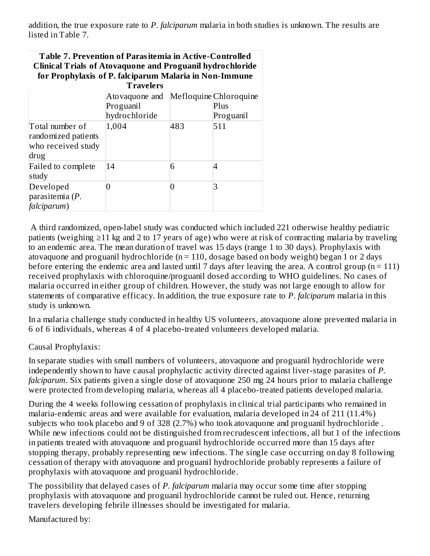addition, the true exposure rate to *P. falciparum* malaria in both studies is unknown. The results are listed in Table 7.

#### **Table 7. Prevention of Parasitemia in Active-Controlled Clinical Trials of Atovaquone and Proguanil hydrochloride for Prophylaxis of P. falciparum Malaria in Non-Immune**

| <b>Travelers</b>                                                     |                |     |                        |  |  |  |
|----------------------------------------------------------------------|----------------|-----|------------------------|--|--|--|
|                                                                      | Atovaquone and |     | Mefloquine Chloroquine |  |  |  |
|                                                                      | Proguanil      |     | Plus                   |  |  |  |
|                                                                      | hydrochloride  |     | Proguanil              |  |  |  |
| Total number of<br>randomized patients<br>who received study<br>drug | 1,004          | 483 | 511                    |  |  |  |
| <b>Failed to complete</b><br>study                                   | 14             | 6   |                        |  |  |  |
| Developed<br>parasitemia $(P.$<br>falciparum)                        |                | 0   |                        |  |  |  |

A third randomized, open-label study was conducted which included 221 otherwise healthy pediatric patients (weighing ≥11 kg and 2 to 17 years of age) who were at risk of contracting malaria by traveling to an endemic area. The mean duration of travel was 15 days (range 1 to 30 days). Prophylaxis with atovaquone and proguanil hydrochloride ( $n = 110$ , dosage based on body weight) began 1 or 2 days before entering the endemic area and lasted until 7 days after leaving the area. A control group ( $n = 111$ ) received prophylaxis with chloroquine/proguanil dosed according to WHO guidelines. No cases of malaria occurred in either group of children. However, the study was not large enough to allow for statements of comparative efficacy. In addition, the true exposure rate to *P. falciparum* malaria in this study is unknown.

In a malaria challenge study conducted in healthy US volunteers, atovaquone alone prevented malaria in 6 of 6 individuals, whereas 4 of 4 placebo-treated volunteers developed malaria.

#### Causal Prophylaxis:

In separate studies with small numbers of volunteers, atovaquone and proguanil hydrochloride were independently shown to have causal prophylactic activity directed against liver-stage parasites of *P. falciparum*. Six patients given a single dose of atovaquone 250 mg 24 hours prior to malaria challenge were protected from developing malaria, whereas all 4 placebo-treated patients developed malaria.

During the 4 weeks following cessation of prophylaxis in clinical trial participants who remained in malaria-endemic areas and were available for evaluation, malaria developed in 24 of 211 (11.4%) subjects who took placebo and 9 of 328 (2.7%) who took atovaquone and proguanil hydrochloride . While new infections could not be distinguished from recrudescent infections, all but 1 of the infections in patients treated with atovaquone and proguanil hydrochloride occurred more than 15 days after stopping therapy, probably representing new infections. The single case occurring on day 8 following cessation of therapy with atovaquone and proguanil hydrochloride probably represents a failure of prophylaxis with atovaquone and proguanil hydrochloride.

The possibility that delayed cases of *P. falciparum* malaria may occur some time after stopping prophylaxis with atovaquone and proguanil hydrochloride cannot be ruled out. Hence, returning travelers developing febrile illnesses should be investigated for malaria.

Manufactured by: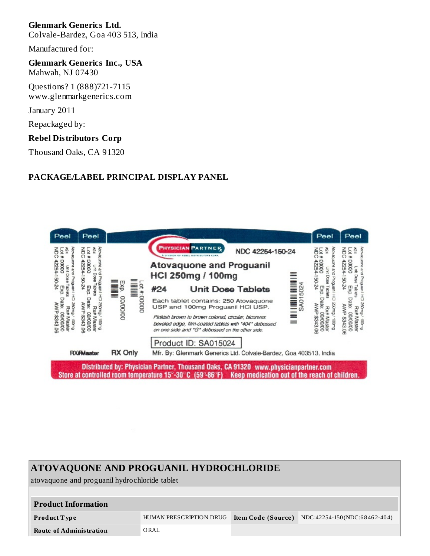## **Glenmark Generics Ltd.**

Colvale-Bardez, Goa 403 513, India

Manufactured for:

#### **Glenmark Generics Inc., USA** Mahwah, NJ 07430

Questions? 1 (888)721-7115 www.glenmarkgenerics.com

January 2011

Repackaged by:

#### **Rebel Distributors Corp**

Thousand Oaks, CA 91320

#### **PACKAGE/LABEL PRINCIPAL DISPLAY PANEL**



# **ATOVAQUONE AND PROGUANIL HYDROCHLORIDE** atovaquone and proguanil hydrochloride tablet **Product Information Product T ype** HUMAN PRESCRIPTION DRUG **Ite m Code (Source )** NDC:42254-150 (NDC:6 8 46 2-40 4) **Route of Administration** ORAL